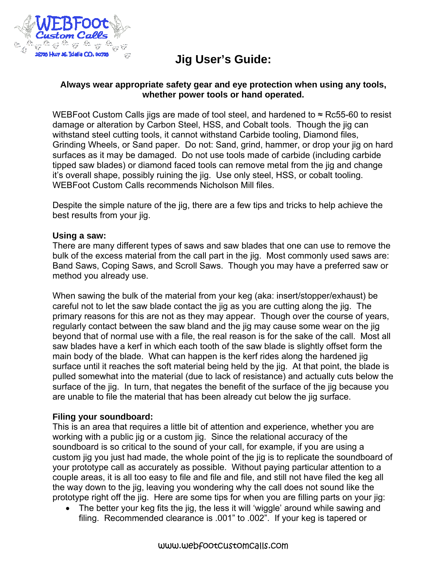

# **Jig User's Guide:**

### **Always wear appropriate safety gear and eye protection when using any tools, whether power tools or hand operated.**

WEBFoot Custom Calls jigs are made of tool steel, and hardened to  $\approx$  Rc55-60 to resist damage or alteration by Carbon Steel, HSS, and Cobalt tools. Though the jig can withstand steel cutting tools, it cannot withstand Carbide tooling, Diamond files, Grinding Wheels, or Sand paper. Do not: Sand, grind, hammer, or drop your jig on hard surfaces as it may be damaged. Do not use tools made of carbide (including carbide tipped saw blades) or diamond faced tools can remove metal from the jig and change it's overall shape, possibly ruining the jig. Use only steel, HSS, or cobalt tooling. WEBFoot Custom Calls recommends Nicholson Mill files.

Despite the simple nature of the jig, there are a few tips and tricks to help achieve the best results from your jig.

#### **Using a saw:**

There are many different types of saws and saw blades that one can use to remove the bulk of the excess material from the call part in the jig. Most commonly used saws are: Band Saws, Coping Saws, and Scroll Saws. Though you may have a preferred saw or method you already use.

When sawing the bulk of the material from your keg (aka: insert/stopper/exhaust) be careful not to let the saw blade contact the jig as you are cutting along the jig. The primary reasons for this are not as they may appear. Though over the course of years, regularly contact between the saw bland and the jig may cause some wear on the jig beyond that of normal use with a file, the real reason is for the sake of the call. Most all saw blades have a kerf in which each tooth of the saw blade is slightly offset form the main body of the blade. What can happen is the kerf rides along the hardened jig surface until it reaches the soft material being held by the jig. At that point, the blade is pulled somewhat into the material (due to lack of resistance) and actually cuts below the surface of the jig. In turn, that negates the benefit of the surface of the jig because you are unable to file the material that has been already cut below the jig surface.

#### **Filing your soundboard:**

This is an area that requires a little bit of attention and experience, whether you are working with a public jig or a custom jig. Since the relational accuracy of the soundboard is so critical to the sound of your call, for example, if you are using a custom jig you just had made, the whole point of the jig is to replicate the soundboard of your prototype call as accurately as possible. Without paying particular attention to a couple areas, it is all too easy to file and file and file, and still not have filed the keg all the way down to the jig, leaving you wondering why the call does not sound like the prototype right off the jig. Here are some tips for when you are filling parts on your jig:

• The better your keg fits the jig, the less it will 'wiggle' around while sawing and filing. Recommended clearance is .001" to .002". If your keg is tapered or